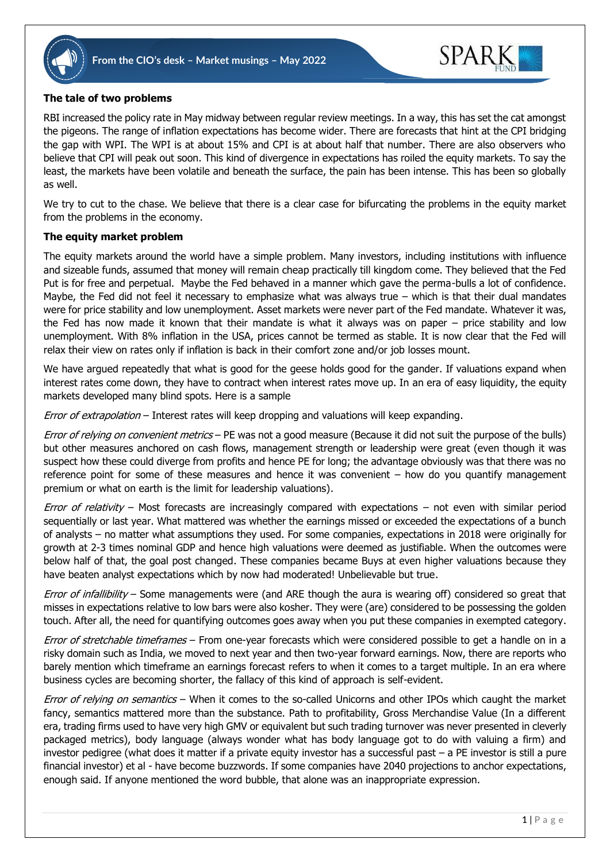



## **The tale of two problems**

RBI increased the policy rate in May midway between regular review meetings. In a way, this has set the cat amongst the pigeons. The range of inflation expectations has become wider. There are forecasts that hint at the CPI bridging the gap with WPI. The WPI is at about 15% and CPI is at about half that number. There are also observers who believe that CPI will peak out soon. This kind of divergence in expectations has roiled the equity markets. To say the least, the markets have been volatile and beneath the surface, the pain has been intense. This has been so globally as well.

We try to cut to the chase. We believe that there is a clear case for bifurcating the problems in the equity market from the problems in the economy.

## **The equity market problem**

The equity markets around the world have a simple problem. Many investors, including institutions with influence and sizeable funds, assumed that money will remain cheap practically till kingdom come. They believed that the Fed Put is for free and perpetual. Maybe the Fed behaved in a manner which gave the perma-bulls a lot of confidence. Maybe, the Fed did not feel it necessary to emphasize what was always true  $-$  which is that their dual mandates were for price stability and low unemployment. Asset markets were never part of the Fed mandate. Whatever it was, the Fed has now made it known that their mandate is what it always was on paper – price stability and low unemployment. With 8% inflation in the USA, prices cannot be termed as stable. It is now clear that the Fed will relax their view on rates only if inflation is back in their comfort zone and/or job losses mount.

We have argued repeatedly that what is good for the geese holds good for the gander. If valuations expand when interest rates come down, they have to contract when interest rates move up. In an era of easy liquidity, the equity markets developed many blind spots. Here is a sample

Error of extrapolation – Interest rates will keep dropping and valuations will keep expanding.

Error of relying on convenient metrics – PE was not a good measure (Because it did not suit the purpose of the bulls) but other measures anchored on cash flows, management strength or leadership were great (even though it was suspect how these could diverge from profits and hence PE for long; the advantage obviously was that there was no reference point for some of these measures and hence it was convenient – how do you quantify management premium or what on earth is the limit for leadership valuations).

Error of relativity – Most forecasts are increasingly compared with expectations – not even with similar period sequentially or last year. What mattered was whether the earnings missed or exceeded the expectations of a bunch of analysts – no matter what assumptions they used. For some companies, expectations in 2018 were originally for growth at 2-3 times nominal GDP and hence high valuations were deemed as justifiable. When the outcomes were below half of that, the goal post changed. These companies became Buys at even higher valuations because they have beaten analyst expectations which by now had moderated! Unbelievable but true.

Error of infallibility – Some managements were (and ARE though the aura is wearing off) considered so great that misses in expectations relative to low bars were also kosher. They were (are) considered to be possessing the golden touch. After all, the need for quantifying outcomes goes away when you put these companies in exempted category.

Error of stretchable timeframes – From one-year forecasts which were considered possible to get a handle on in a risky domain such as India, we moved to next year and then two-year forward earnings. Now, there are reports who barely mention which timeframe an earnings forecast refers to when it comes to a target multiple. In an era where business cycles are becoming shorter, the fallacy of this kind of approach is self-evident.

Error of relying on semantics – When it comes to the so-called Unicorns and other IPOs which caught the market fancy, semantics mattered more than the substance. Path to profitability, Gross Merchandise Value (In a different era, trading firms used to have very high GMV or equivalent but such trading turnover was never presented in cleverly packaged metrics), body language (always wonder what has body language got to do with valuing a firm) and investor pedigree (what does it matter if a private equity investor has a successful past – a PE investor is still a pure financial investor) et al - have become buzzwords. If some companies have 2040 projections to anchor expectations, enough said. If anyone mentioned the word bubble, that alone was an inappropriate expression.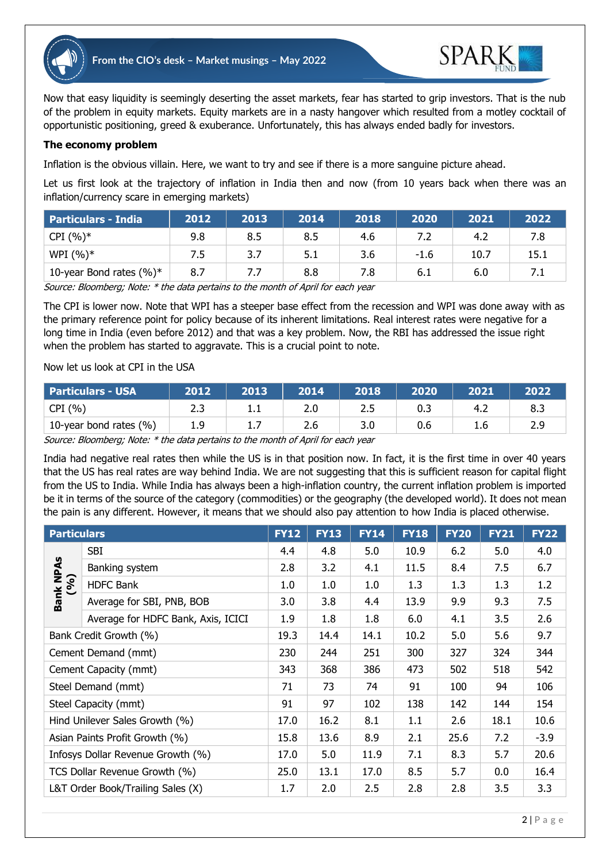



Now that easy liquidity is seemingly deserting the asset markets, fear has started to grip investors. That is the nub of the problem in equity markets. Equity markets are in a nasty hangover which resulted from a motley cocktail of opportunistic positioning, greed & exuberance. Unfortunately, this has always ended badly for investors.

## **The economy problem**

Inflation is the obvious villain. Here, we want to try and see if there is a more sanguine picture ahead.

Let us first look at the trajectory of inflation in India then and now (from 10 years back when there was an inflation/currency scare in emerging markets)

| <b>Particulars - India</b>  | 2012 | 2013 | 2014 | 2018 | 2020   | 2021 | 2022 |
|-----------------------------|------|------|------|------|--------|------|------|
| $CPI (%)*$                  | 9.8  | 8.5  | 8.5  | 4.6  |        | 4.2  | 7.8  |
| WPI $(%)^*$                 | 7.5  | 3.7  | 5.1  | 3.6  | $-1.6$ | 10.7 | 15.1 |
| 10-year Bond rates $(\%)^*$ | 8.7  | 7.7  | 8.8  | 7.8  | 6.1    | 6.0  |      |

Source: Bloomberg; Note: \* the data pertains to the month of April for each year

The CPI is lower now. Note that WPI has a steeper base effect from the recession and WPI was done away with as the primary reference point for policy because of its inherent limitations. Real interest rates were negative for a long time in India (even before 2012) and that was a key problem. Now, the RBI has addressed the issue right when the problem has started to aggravate. This is a crucial point to note.

## Now let us look at CPI in the USA

| <b>Particulars - USA</b> | 2012  | 2013      | 2014 | 2018  | 2020 | 2021 | 2022 |
|--------------------------|-------|-----------|------|-------|------|------|------|
| CPI(%)                   | ر . ے | .         | z.u  | ر . ے | U.3  | ے.4  | 8.3  |
| 10-year bond rates (%)   | 1.9   | <b>1.</b> | 2.6  | 3.0   | 0.6  | ı.c  | 2.9  |

Source: Bloomberg; Note: \* the data pertains to the month of April for each year

India had negative real rates then while the US is in that position now. In fact, it is the first time in over 40 years that the US has real rates are way behind India. We are not suggesting that this is sufficient reason for capital flight from the US to India. While India has always been a high-inflation country, the current inflation problem is imported be it in terms of the source of the category (commodities) or the geography (the developed world). It does not mean the pain is any different. However, it means that we should also pay attention to how India is placed otherwise.

| <b>Particulars</b>                |                                    | <b>FY12</b> | <b>FY13</b> | <b>FY14</b> | <b>FY18</b> | <b>FY20</b> | <b>FY21</b> | <b>FY22</b> |
|-----------------------------------|------------------------------------|-------------|-------------|-------------|-------------|-------------|-------------|-------------|
| Bank NPAs<br>(%)                  | SBI                                | 4.4         | 4.8         | 5.0         | 10.9        | 6.2         | 5.0         | 4.0         |
|                                   | Banking system                     | 2.8         | 3.2         | 4.1         | 11.5        | 8.4         | 7.5         | 6.7         |
|                                   | <b>HDFC Bank</b>                   | 1.0         | 1.0         | 1.0         | 1.3         | 1.3         | 1.3         | 1.2         |
|                                   | Average for SBI, PNB, BOB          | 3.0         | 3.8         | 4.4         | 13.9        | 9.9         | 9.3         | 7.5         |
|                                   | Average for HDFC Bank, Axis, ICICI | 1.9         | 1.8         | 1.8         | 6.0         | 4.1         | 3.5         | 2.6         |
| Bank Credit Growth (%)            |                                    | 19.3        | 14.4        | 14.1        | 10.2        | 5.0         | 5.6         | 9.7         |
| Cement Demand (mmt)               |                                    | 230         | 244         | 251         | 300         | 327         | 324         | 344         |
| Cement Capacity (mmt)             |                                    | 343         | 368         | 386         | 473         | 502         | 518         | 542         |
| Steel Demand (mmt)                |                                    | 71          | 73          | 74          | 91          | 100         | 94          | 106         |
| Steel Capacity (mmt)              |                                    | 91          | 97          | 102         | 138         | 142         | 144         | 154         |
| Hind Unilever Sales Growth (%)    |                                    | 17.0        | 16.2        | 8.1         | 1.1         | 2.6         | 18.1        | 10.6        |
| Asian Paints Profit Growth (%)    |                                    | 15.8        | 13.6        | 8.9         | 2.1         | 25.6        | 7.2         | $-3.9$      |
| Infosys Dollar Revenue Growth (%) |                                    | 17.0        | 5.0         | 11.9        | 7.1         | 8.3         | 5.7         | 20.6        |
| TCS Dollar Revenue Growth (%)     |                                    | 25.0        | 13.1        | 17.0        | 8.5         | 5.7         | 0.0         | 16.4        |
| L&T Order Book/Trailing Sales (X) |                                    | 1.7         | 2.0         | 2.5         | 2.8         | 2.8         | 3.5         | 3.3         |